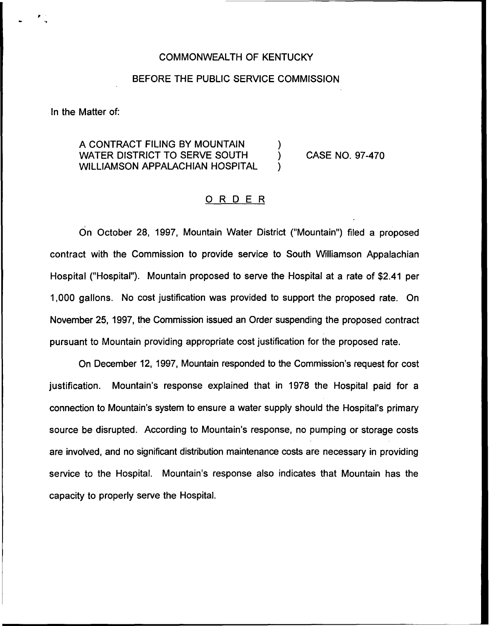## COMMONWEALTH OF KENTUCKY

## BEFORE THE PUBLIC SERVICE COMMISSION

In the Matter of:

A CONTRACT FILING BY MOUNTAIN  $\begin{array}{c} \bigcup_{i=1}^n \mathcal{N}(i) \setminus \mathcal{N}(i) \setminus \mathcal{N}(i) \setminus \mathcal{N}(i) \setminus \mathcal{N}(i) \setminus \mathcal{N}(i) \setminus \mathcal{N}(i) \setminus \mathcal{N}(i) \setminus \mathcal{N}(i) \setminus \mathcal{N}(i) \setminus \mathcal{N}(i) \setminus \mathcal{N}(i) \setminus \mathcal{N}(i) \setminus \mathcal{N}(i) \setminus \mathcal{N}(i) \setminus \mathcal{N}(i) \$ WATER DISTRICT TO SERVE SOUTH WILLIAMSON APPALACHIAN HOSPITAL

CASE NO. 97-470

## ORDER

On October 28, 1997, Mountain Water District ("Mountain") filed a propose contract with the Commission to provide service to South Williamson Appalachian Hospital ("Hospital"). Mountain proposed to serve the Hospital at a rate of \$2.41 per 1,000 gallons. No cost justification was provided to support the proposed rate. On November 25, 1997, the Commission issued an Order suspending the proposed contract pursuant to Mountain providing appropriate cost justification for the proposed rate.

On December 12, 1997, Mountain responded to the Commission's request for cost justification. Mountain's response explained that in 1978 the Hospital paid for a connection to Mountain's system to ensure a water supply should the Hospital's primary source be disrupted. According to Mountain's response, no pumping or storage costs are involved, and no significant distribution maintenance costs are necessary in providing service to the Hospital. Mountain's response also indicates that Mountain has the capacity to properly serve the Hospital.